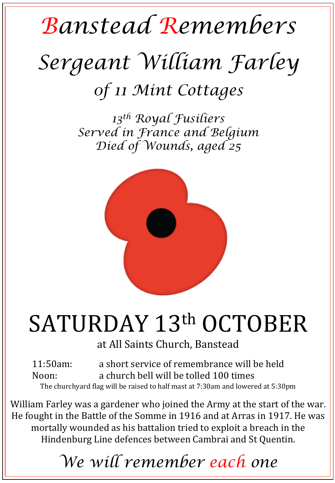## *Banstead Remembers Sergeant William Farley 0f 11 Mint Cottages*

*13th Royal Fusiliers Served in France and Belgium Died of Wounds, aged 25* 



## SATURDAY 13th OCTOBER

at All Saints Church, Banstead

11:50am: a short service of remembrance will be held Noon: a church bell will be tolled 100 times The churchyard flag will be raised to half mast at 7:30am and lowered at 5:30pm

William Farley was a gardener who joined the Army at the start of the war. He fought in the Battle of the Somme in 1916 and at Arras in 1917. He was mortally wounded as his battalion tried to exploit a breach in the Hindenburg Line defences between Cambrai and St Quentin.

*We will remember each one*